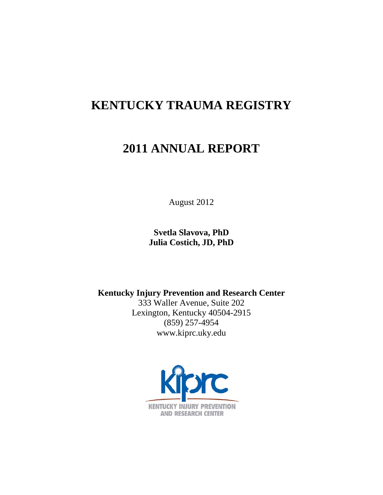## **KENTUCKY TRAUMA REGISTRY**

# **2011 ANNUAL REPORT**

August 2012

**Svetla Slavova, PhD Julia Costich, JD, PhD**

**Kentucky Injury Prevention and Research Center**

333 Waller Avenue, Suite 202 Lexington, Kentucky 40504-2915 (859) 257-4954 www.kiprc.uky.edu

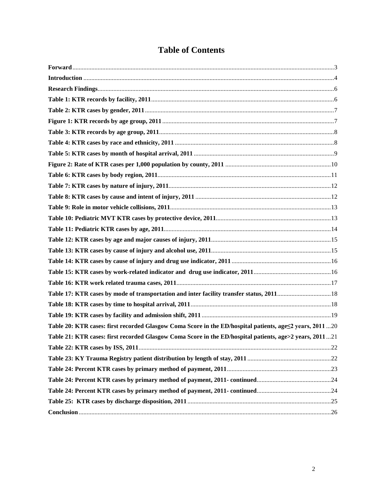|  | <b>Table of Contents</b> |
|--|--------------------------|
|--|--------------------------|

| Table 20: KTR cases: first recorded Glasgow Coma Score in the ED/hospital patients, age <2 years, 2011  20 |  |
|------------------------------------------------------------------------------------------------------------|--|
| Table 21: KTR cases: first recorded Glasgow Coma Score in the ED/hospital patients, age>2 years, 201121    |  |
|                                                                                                            |  |
|                                                                                                            |  |
|                                                                                                            |  |
|                                                                                                            |  |
|                                                                                                            |  |
|                                                                                                            |  |
|                                                                                                            |  |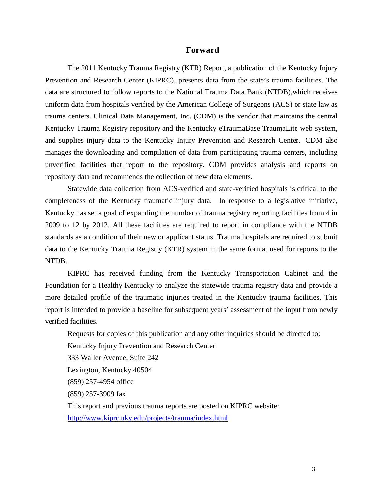#### **Forward**

<span id="page-2-0"></span>The 2011 Kentucky Trauma Registry (KTR) Report, a publication of the Kentucky Injury Prevention and Research Center (KIPRC), presents data from the state's trauma facilities. The data are structured to follow reports to the National Trauma Data Bank (NTDB),which receives uniform data from hospitals verified by the American College of Surgeons (ACS) or state law as trauma centers. Clinical Data Management, Inc. (CDM) is the vendor that maintains the central Kentucky Trauma Registry repository and the Kentucky eTraumaBase TraumaLite web system, and supplies injury data to the Kentucky Injury Prevention and Research Center. CDM also manages the downloading and compilation of data from participating trauma centers, including unverified facilities that report to the repository. CDM provides analysis and reports on repository data and recommends the collection of new data elements.

Statewide data collection from ACS-verified and state-verified hospitals is critical to the completeness of the Kentucky traumatic injury data. In response to a legislative initiative, Kentucky has set a goal of expanding the number of trauma registry reporting facilities from 4 in 2009 to 12 by 2012. All these facilities are required to report in compliance with the NTDB standards as a condition of their new or applicant status. Trauma hospitals are required to submit data to the Kentucky Trauma Registry (KTR) system in the same format used for reports to the NTDB.

KIPRC has received funding from the Kentucky Transportation Cabinet and the Foundation for a Healthy Kentucky to analyze the statewide trauma registry data and provide a more detailed profile of the traumatic injuries treated in the Kentucky trauma facilities. This report is intended to provide a baseline for subsequent years' assessment of the input from newly verified facilities.

Requests for copies of this publication and any other inquiries should be directed to:

Kentucky Injury Prevention and Research Center

333 Waller Avenue, Suite 242

Lexington, Kentucky 40504

(859) 257-4954 office

(859) 257-3909 fax

This report and previous trauma reports are posted on KIPRC website: <http://www.kiprc.uky.edu/projects/trauma/index.html>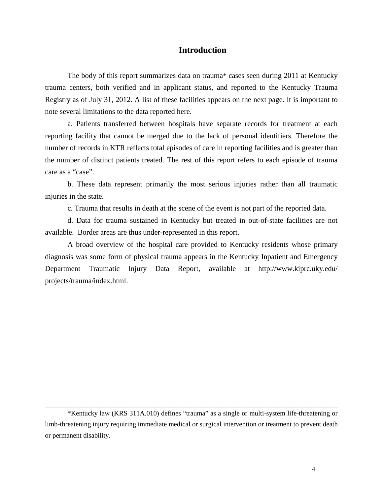#### **Introduction**

<span id="page-3-0"></span>The body of this report summarizes data on trauma\* cases seen during 2011 at Kentucky trauma centers, both verified and in applicant status, and reported to the Kentucky Trauma Registry as of July 31, 2012. A list of these facilities appears on the next page. It is important to note several limitations to the data reported here.

a. Patients transferred between hospitals have separate records for treatment at each reporting facility that cannot be merged due to the lack of personal identifiers. Therefore the number of records in KTR reflects total episodes of care in reporting facilities and is greater than the number of distinct patients treated. The rest of this report refers to each episode of trauma care as a "case".

b. These data represent primarily the most serious injuries rather than all traumatic injuries in the state.

c. Trauma that results in death at the scene of the event is not part of the reported data.

d. Data for trauma sustained in Kentucky but treated in out-of-state facilities are not available. Border areas are thus under-represented in this report.

A broad overview of the hospital care provided to Kentucky residents whose primary diagnosis was some form of physical trauma appears in the Kentucky Inpatient and Emergency Department Traumatic Injury Data Report, available at http://www.kiprc.uky.edu/ projects/trauma/index.html.

\*Kentucky law (KRS 311A.010) defines "trauma" as a single or multi-system life-threatening or limb-threatening injury requiring immediate medical or surgical intervention or treatment to prevent death or permanent disability.

\_\_\_\_\_\_\_\_\_\_\_\_\_\_\_\_\_\_\_\_\_\_\_\_\_\_\_\_\_\_\_\_\_\_\_\_\_\_\_\_\_\_\_\_\_\_\_\_\_\_\_\_\_\_\_\_\_\_\_\_\_\_\_\_\_\_\_\_\_\_\_\_\_\_\_\_\_\_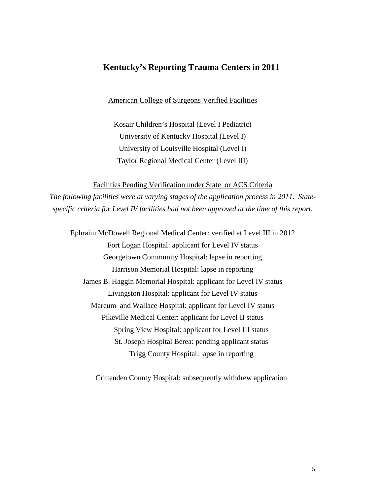## **Kentucky's Reporting Trauma Centers in 2011**

American College of Surgeons Verified Facilities

Kosair Children's Hospital (Level I Pediatric) University of Kentucky Hospital (Level I) University of Louisville Hospital (Level I) Taylor Regional Medical Center (Level III)

Facilities Pending Verification under State or ACS Criteria *The following facilities were at varying stages of the application process in 2011. Statespecific criteria for Level IV facilities had not been approved at the time of this report.*

Ephraim McDowell Regional Medical Center: verified at Level III in 2012 Fort Logan Hospital: applicant for Level IV status Georgetown Community Hospital: lapse in reporting Harrison Memorial Hospital: lapse in reporting James B. Haggin Memorial Hospital: applicant for Level IV status Livingston Hospital: applicant for Level IV status Marcum and Wallace Hospital: applicant for Level IV status Pikeville Medical Center: applicant for Level II status Spring View Hospital: applicant for Level III status St. Joseph Hospital Berea: pending applicant status Trigg County Hospital: lapse in reporting

Crittenden County Hospital: subsequently withdrew application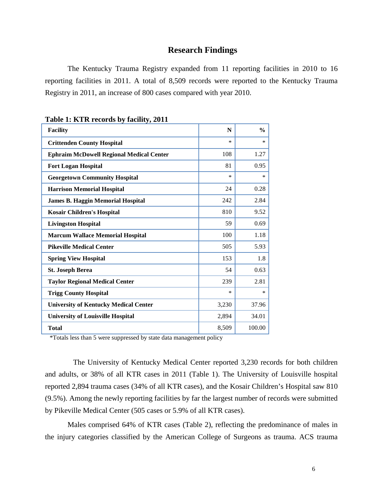### **Research Findings**

<span id="page-5-0"></span>The Kentucky Trauma Registry expanded from 11 reporting facilities in 2010 to 16 reporting facilities in 2011. A total of 8,509 records were reported to the Kentucky Trauma Registry in 2011, an increase of 800 cases compared with year 2010.

| <b>Facility</b>                                 | N      | $\frac{0}{0}$ |
|-------------------------------------------------|--------|---------------|
| <b>Crittenden County Hospital</b>               | $\ast$ | $\ast$        |
| <b>Ephraim McDowell Regional Medical Center</b> | 108    | 1.27          |
| <b>Fort Logan Hospital</b>                      | 81     | 0.95          |
| <b>Georgetown Community Hospital</b>            | $\ast$ | *             |
| <b>Harrison Memorial Hospital</b>               | 24     | 0.28          |
| <b>James B. Haggin Memorial Hospital</b>        | 242    | 2.84          |
| <b>Kosair Children's Hospital</b>               | 810    | 9.52          |
| <b>Livingston Hospital</b>                      | 59     | 0.69          |
| <b>Marcum Wallace Memorial Hospital</b>         | 100    | 1.18          |
| <b>Pikeville Medical Center</b>                 | 505    | 5.93          |
| <b>Spring View Hospital</b>                     | 153    | 1.8           |
| <b>St. Joseph Berea</b>                         | 54     | 0.63          |
| <b>Taylor Regional Medical Center</b>           | 239    | 2.81          |
| <b>Trigg County Hospital</b>                    | $\ast$ | *             |
| <b>University of Kentucky Medical Center</b>    | 3,230  | 37.96         |
| <b>University of Louisville Hospital</b>        | 2,894  | 34.01         |
| <b>Total</b>                                    | 8,509  | 100.00        |

<span id="page-5-1"></span>**Table 1: KTR records by facility, 2011**

\*Totals less than 5 were suppressed by state data management policy

 The University of Kentucky Medical Center reported 3,230 records for both children and adults, or 38% of all KTR cases in 2011 (Table 1). The University of Louisville hospital reported 2,894 trauma cases (34% of all KTR cases), and the Kosair Children's Hospital saw 810 (9.5%). Among the newly reporting facilities by far the largest number of records were submitted by Pikeville Medical Center (505 cases or 5.9% of all KTR cases).

Males comprised 64% of KTR cases (Table 2), reflecting the predominance of males in the injury categories classified by the American College of Surgeons as trauma. ACS trauma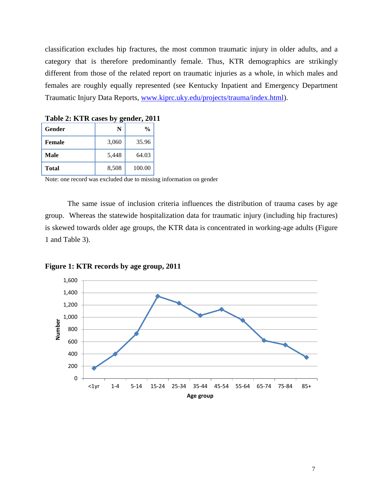classification excludes hip fractures, the most common traumatic injury in older adults, and a category that is therefore predominantly female. Thus, KTR demographics are strikingly different from those of the related report on traumatic injuries as a whole, in which males and females are roughly equally represented (see Kentucky Inpatient and Emergency Department Traumatic Injury Data Reports, [www.kiprc.uky.edu/projects/trauma/index.html\)](http://www.kiprc.uky.edu/projects/trauma/index.html).

|              | ັດ    |               |
|--------------|-------|---------------|
| Gender       |       | $\frac{0}{0}$ |
| Female       | 3,060 | 35.96         |
| Male         | 5,448 | 64.03         |
| <b>Total</b> | 8,508 | 100.00        |

<span id="page-6-0"></span>**Table 2: KTR cases by gender, 2011**

Note: one record was excluded due to missing information on gender

The same issue of inclusion criteria influences the distribution of trauma cases by age group. Whereas the statewide hospitalization data for traumatic injury (including hip fractures) is skewed towards older age groups, the KTR data is concentrated in working-age adults (Figure 1 and Table 3).



<span id="page-6-1"></span>**Figure 1: KTR records by age group, 2011**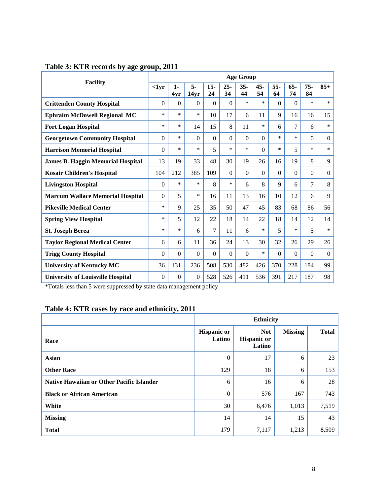| <b>Facility</b>                          |          | <b>Age Group</b> |            |              |              |              |              |             |              |              |                |  |
|------------------------------------------|----------|------------------|------------|--------------|--------------|--------------|--------------|-------------|--------------|--------------|----------------|--|
|                                          | $1yr$    | $1-$<br>4yr      | 5-<br>14yr | $15 -$<br>24 | $25 -$<br>34 | $35 -$<br>44 | $45 -$<br>54 | $55-$<br>64 | $65 -$<br>74 | $75 -$<br>84 | $85+$          |  |
| <b>Crittenden County Hospital</b>        | $\Omega$ | $\Omega$         | $\Omega$   | $\Omega$     | $\Omega$     | $\ast$       | $\ast$       | $\Omega$    | $\Omega$     | $\ast$       | *              |  |
| <b>Ephraim McDowell Regional MC</b>      | $\ast$   | $\ast$           | $\ast$     | 10           | 17           | 6            | 11           | 9           | 16           | 16           | 15             |  |
| <b>Fort Logan Hospital</b>               | *        | $\ast$           | 14         | 15           | 8            | 11           | *            | 6           | 7            | 6            | $\ast$         |  |
| <b>Georgetown Community Hospital</b>     | $\Omega$ | $\ast$           | $\Omega$   | $\theta$     | $\Omega$     | $\Omega$     | $\Omega$     | $\ast$      | $\ast$       | $\Omega$     | $\overline{0}$ |  |
| <b>Harrison Memorial Hospital</b>        | $\Omega$ | $\ast$           | *          | 5            | *            | ∗            | $\Omega$     | *           | 5            | *            | *              |  |
| <b>James B. Haggin Memorial Hospital</b> | 13       | 19               | 33         | 48           | 30           | 19           | 26           | 16          | 19           | 8            | 9              |  |
| <b>Kosair Children's Hospital</b>        | 104      | 212              | 385        | 109          | $\theta$     | $\Omega$     | $\Omega$     | $\Omega$    | $\Omega$     | $\Omega$     | $\overline{0}$ |  |
| <b>Livingston Hospital</b>               | $\Omega$ | $\ast$           | $\ast$     | 8            | *            | 6            | 8            | 9           | 6            | $\tau$       | 8              |  |
| <b>Marcum Wallace Memorial Hospital</b>  | $\theta$ | 5                | *          | 16           | 11           | 13           | 16           | 10          | 12           | 6            | 9              |  |
| <b>Pikeville Medical Center</b>          | *        | 9                | 25         | 35           | 50           | 47           | 45           | 83          | 68           | 86           | 56             |  |
| <b>Spring View Hospital</b>              | *        | 5                | 12         | 22           | 18           | 14           | 22           | 18          | 14           | 12           | 14             |  |
| <b>St. Joseph Berea</b>                  | *        | $\ast$           | 6          | 7            | 11           | 6            | $\ast$       | 5           | $\ast$       | 5            | $\ast$         |  |
| <b>Taylor Regional Medical Center</b>    | 6        | 6                | 11         | 36           | 24           | 13           | 30           | 32          | 26           | 29           | 26             |  |
| <b>Trigg County Hospital</b>             | $\Omega$ | $\Omega$         | $\Omega$   | $\Omega$     | $\Omega$     | $\Omega$     | *            | $\Omega$    | $\Omega$     | $\Omega$     | $\Omega$       |  |
| <b>University of Kentucky MC</b>         | 36       | 131              | 236        | 508          | 530          | 482          | 426          | 370         | 228          | 184          | 99             |  |
| <b>University of Louisville Hospital</b> | $\Omega$ | $\Omega$         | $\Omega$   | 528          | 526          | 411          | 536          | 391         | 217          | 187          | 98             |  |

## <span id="page-7-0"></span>**Table 3: KTR records by age group, 2011**

\*Totals less than 5 were suppressed by state data management policy

## <span id="page-7-1"></span>**Table 4: KTR cases by race and ethnicity, 2011**

|                                                  | <b>Ethnicity</b>             |                                            |                |              |  |  |  |  |
|--------------------------------------------------|------------------------------|--------------------------------------------|----------------|--------------|--|--|--|--|
| Race                                             | <b>Hispanic or</b><br>Latino | <b>Not</b><br><b>Hispanic or</b><br>Latino | <b>Missing</b> | <b>Total</b> |  |  |  |  |
| <b>Asian</b>                                     | $\Omega$                     | 17                                         | 6              | 23           |  |  |  |  |
| <b>Other Race</b>                                | 129                          | 18                                         | 6              | 153          |  |  |  |  |
| <b>Native Hawaiian or Other Pacific Islander</b> | 6                            | 16                                         | 6              | 28           |  |  |  |  |
| <b>Black or African American</b>                 | $\theta$                     | 576                                        | 167            | 743          |  |  |  |  |
| White                                            | 30                           | 6,476                                      | 1,013          | 7,519        |  |  |  |  |
| <b>Missing</b>                                   | 14                           | 14                                         | 15             | 43           |  |  |  |  |
| <b>Total</b>                                     | 179                          | 7,117                                      | 1,213          | 8,509        |  |  |  |  |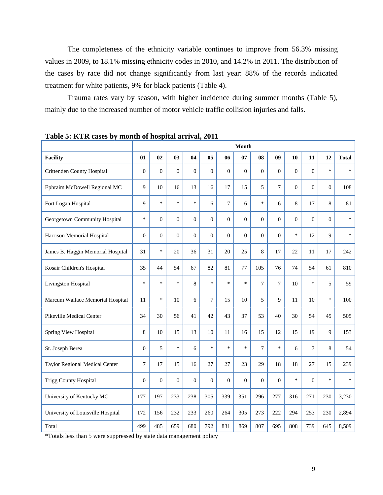The completeness of the ethnicity variable continues to improve from 56.3% missing values in 2009, to 18.1% missing ethnicity codes in 2010, and 14.2% in 2011. The distribution of the cases by race did not change significantly from last year: 88% of the records indicated treatment for white patients, 9% for black patients (Table 4).

Trauma rates vary by season, with higher incidence during summer months (Table 5), mainly due to the increased number of motor vehicle traffic collision injuries and falls.

|                                   | <b>Month</b>   |                |                  |              |                  |                  |                  |                |                |                |                |                |              |
|-----------------------------------|----------------|----------------|------------------|--------------|------------------|------------------|------------------|----------------|----------------|----------------|----------------|----------------|--------------|
| <b>Facility</b>                   | 01             | 02             | 03               | 04           | 0 <sub>5</sub>   | 06               | 07               | 08             | 09             | 10             | 11             | 12             | <b>Total</b> |
| Crittenden County Hospital        | $\overline{0}$ | $\overline{0}$ | $\boldsymbol{0}$ | $\mathbf{0}$ | $\overline{0}$   | $\boldsymbol{0}$ | $\boldsymbol{0}$ | $\overline{0}$ | $\overline{0}$ | $\overline{0}$ | $\overline{0}$ | $\ast$         | $\ast$       |
| Ephraim McDowell Regional MC      | 9              | 10             | 16               | 13           | 16               | 17               | 15               | 5              | $\overline{7}$ | $\overline{0}$ | $\overline{0}$ | $\overline{0}$ | 108          |
| Fort Logan Hospital               | 9              | $\ast$         | $\ast$           | $\ast$       | 6                | $\tau$           | 6                | $\ast$         | 6              | 8              | 17             | 8              | 81           |
| Georgetown Community Hospital     | $\ast$         | $\overline{0}$ | $\boldsymbol{0}$ | $\mathbf{0}$ | $\boldsymbol{0}$ | $\overline{0}$   | $\Omega$         | $\mathbf{0}$   | $\Omega$       | $\Omega$       | $\theta$       | $\Omega$       | $\ast$       |
| Harrison Memorial Hospital        | $\overline{0}$ | $\Omega$       | $\Omega$         | $\Omega$     | $\Omega$         | $\overline{0}$   | $\overline{0}$   | $\theta$       | $\theta$       | $\ast$         | 12             | 9              | $\ast$       |
| James B. Haggin Memorial Hospital | 31             | $\ast$         | 20               | 36           | 31               | 20               | 25               | 8              | 17             | 22             | 11             | 17             | 242          |
| Kosair Children's Hospital        | 35             | 44             | 54               | 67           | 82               | 81               | 77               | 105            | 76             | 74             | 54             | 61             | 810          |
| Livingston Hospital               | $\ast$         | $\ast$         | $\ast$           | 8            | $\ast$           | $\ast$           | $\ast$           | $\overline{7}$ | $\overline{7}$ | 10             | $\ast$         | 5              | 59           |
| Marcum Wallace Memorial Hospital  | 11             | $\ast$         | 10               | 6            | $\overline{7}$   | 15               | 10               | 5              | 9              | 11             | 10             | $\ast$         | 100          |
| Pikeville Medical Center          | 34             | 30             | 56               | 41           | 42               | 43               | 37               | 53             | 40             | 30             | 54             | 45             | 505          |
| Spring View Hospital              | 8              | 10             | 15               | 13           | 10               | 11               | 16               | 15             | 12             | 15             | 19             | 9              | 153          |
| St. Joseph Berea                  | $\overline{0}$ | 5              | $\ast$           | 6            | $\ast$           | $\ast$           | $\ast$           | $\overline{7}$ | $\ast$         | 6              | $\overline{7}$ | 8              | 54           |
| Taylor Regional Medical Center    | $\overline{7}$ | 17             | 15               | 16           | 27               | 27               | 23               | 29             | 18             | 18             | 27             | 15             | 239          |
| <b>Trigg County Hospital</b>      | $\overline{0}$ | $\theta$       | $\theta$         | $\mathbf{0}$ | $\theta$         | $\overline{0}$   | $\mathbf{0}$     | $\overline{0}$ | $\overline{0}$ | $\ast$         | $\overline{0}$ | $\ast$         | $\ast$       |
| University of Kentucky MC         | 177            | 197            | 233              | 238          | 305              | 339              | 351              | 296            | 277            | 316            | 271            | 230            | 3,230        |
| University of Louisville Hospital | 172            | 156            | 232              | 233          | 260              | 264              | 305              | 273            | 222            | 294            | 253            | 230            | 2,894        |
| Total                             | 499            | 485            | 659              | 680          | 792              | 831              | 869              | 807            | 695            | 808            | 739            | 645            | 8,509        |

<span id="page-8-0"></span>**Table 5: KTR cases by month of hospital arrival, 2011**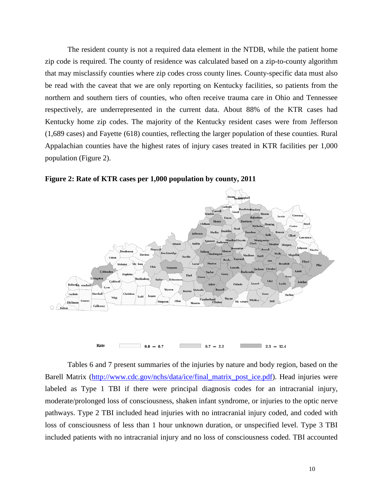The resident county is not a required data element in the NTDB, while the patient home zip code is required. The county of residence was calculated based on a zip-to-county algorithm that may misclassify counties where zip codes cross county lines. County-specific data must also be read with the caveat that we are only reporting on Kentucky facilities, so patients from the northern and southern tiers of counties, who often receive trauma care in Ohio and Tennessee respectively, are underrepresented in the current data. About 88% of the KTR cases had Kentucky home zip codes. The majority of the Kentucky resident cases were from Jefferson (1,689 cases) and Fayette (618) counties, reflecting the larger population of these counties. Rural Appalachian counties have the highest rates of injury cases treated in KTR facilities per 1,000 population (Figure 2).



<span id="page-9-0"></span>**Figure 2: Rate of KTR cases per 1,000 population by county, 2011**

Tables 6 and 7 present summaries of the injuries by nature and body region, based on the Barell Matrix (http://www.cdc.gov/nchs/data/ice/final matrix post ice.pdf). Head injuries were labeled as Type 1 TBI if there were principal diagnosis codes for an intracranial injury, moderate/prolonged loss of consciousness, shaken infant syndrome, or injuries to the optic nerve pathways. Type 2 TBI included head injuries with no intracranial injury coded, and coded with loss of consciousness of less than 1 hour unknown duration, or unspecified level. Type 3 TBI included patients with no intracranial injury and no loss of consciousness coded. TBI accounted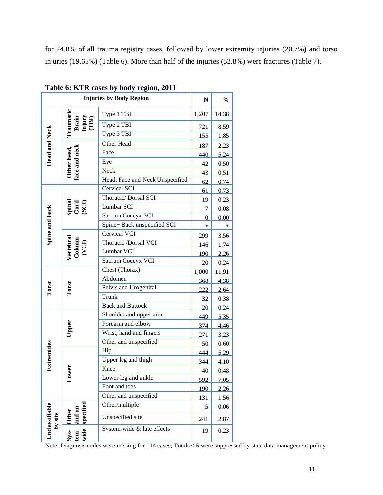for 24.8% of all trauma registry cases, followed by lower extremity injuries (20.7%) and torso injuries (19.65%) (Table 6). More than half of the injuries (52.8%) were fractures (Table 7).

|                                                      | N                            | $\frac{0}{0}$                   |       |       |
|------------------------------------------------------|------------------------------|---------------------------------|-------|-------|
|                                                      | Traumatic                    | Type 1 TBI                      | 1,207 | 14.38 |
|                                                      | Brain<br>Injury<br>(TBI)     | Type 2 TBI                      | 721   | 8.59  |
|                                                      |                              | Type 3 TBI                      | 155   | 1.85  |
|                                                      |                              | Other Head                      | 187   | 2.23  |
| <b>Head and Neck</b><br>Other head,<br>face and neck |                              | Face                            | 440   | 5.24  |
|                                                      |                              | Eye                             | 42    | 0.50  |
|                                                      |                              | Neck                            | 43    | 0.51  |
|                                                      |                              | Head, Face and Neck Unspecified | 62    | 0.74  |
|                                                      |                              | <b>Cervical SCI</b>             | 61    | 0.73  |
|                                                      |                              | Thoracic/ Dorsal SCI            | 19    | 0.23  |
|                                                      | Spinal<br>Cord<br>(SCI)      | Lumbar SCI                      | 7     | 0.08  |
|                                                      |                              | Sacrum Coccyx SCI               | 0     | 0.00  |
|                                                      |                              | Spine+ Back unspecified SCI     | *     | *     |
| Spine and back                                       |                              | <b>Cervical VCI</b>             | 299   | 3.56  |
|                                                      | Vertebral<br>Column<br>(VCI) | Thoracic /Dorsal VCI            |       | 1.74  |
|                                                      |                              | Lumbar VCI                      | 190   | 2.26  |
|                                                      |                              | Sacrum Coccyx VCI               | 20    | 0.24  |
|                                                      |                              | Chest (Thorax)                  | 1,000 | 11.91 |
|                                                      |                              | Abdomen                         | 368   | 4.38  |
| Torso                                                | <b>Torso</b>                 | Pelvis and Urogenital           | 222   | 2.64  |
|                                                      |                              | Trunk                           | 32    | 0.38  |
|                                                      |                              | <b>Back and Buttock</b>         | 20    | 0.24  |
|                                                      |                              | Shoulder and upper arm          | 449   | 5.35  |
|                                                      | Upper                        | Forearm and elbow               | 374   | 4.46  |
|                                                      |                              | Wrist, hand and fingers         | 271   | 3.23  |
|                                                      |                              | Other and unspecified           | 50    | 0.60  |
| Extremities                                          |                              | Hip                             | 444   | 5.29  |
|                                                      |                              | Upper leg and thigh             | 344   | 4.10  |
|                                                      | ver                          | Knee                            | 40    | 0.48  |
|                                                      | <u>ξ</u>                     | Lower leg and ankle             | 592   | 7.05  |
|                                                      |                              | Foot and toes                   | 190   | 2.26  |
|                                                      |                              | Other and unspecified           | 131   | 1.56  |
|                                                      | specified                    | Other/multiple                  | 5     | 0.06  |
| by site                                              | and un-<br><b>Other</b>      | Unspecified site                | 241   | 2.87  |
| Unclassifiable                                       | Sys-<br>tem<br>wide          | System-wide & late effects      | 19    | 0.23  |

<span id="page-10-0"></span>

| Table 6: KTR cases by body region, 2011 |  |  |  |
|-----------------------------------------|--|--|--|
|-----------------------------------------|--|--|--|

Note: Diagnosis codes were missing for 114 cases; Totals < 5 were suppressed by state data management policy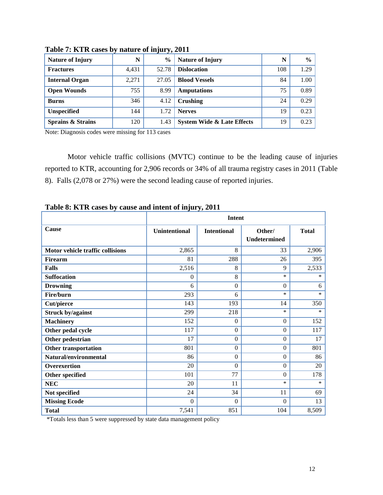| <b>Nature of Injury</b>      | N     | $\frac{0}{0}$ | <b>Nature of Injury</b>               | N   | $\frac{0}{0}$ |
|------------------------------|-------|---------------|---------------------------------------|-----|---------------|
| <b>Fractures</b>             | 4,431 | 52.78         | <b>Dislocation</b>                    | 108 | 1.29          |
| <b>Internal Organ</b>        | 2,271 | 27.05         | <b>Blood Vessels</b>                  | 84  | 1.00          |
| <b>Open Wounds</b>           | 755   | 8.99          | <b>Amputations</b>                    | 75  | 0.89          |
| <b>Burns</b>                 | 346   | 4.12          | Crushing                              | 24  | 0.29          |
| <b>Unspecified</b>           | 144   | 1.72          | <b>Nerves</b>                         | 19  | 0.23          |
| <b>Sprains &amp; Strains</b> | 120   | 1.43          | <b>System Wide &amp; Late Effects</b> | 19  | 0.23          |

<span id="page-11-0"></span>**Table 7: KTR cases by nature of injury, 2011**

Note: Diagnosis codes were missing for 113 cases

Motor vehicle traffic collisions (MVTC) continue to be the leading cause of injuries reported to KTR, accounting for 2,906 records or 34% of all trauma registry cases in 2011 (Table 8). Falls (2,078 or 27%) were the second leading cause of reported injuries.

|                                  | <b>Intent</b>        |                    |                               |              |  |  |  |  |  |
|----------------------------------|----------------------|--------------------|-------------------------------|--------------|--|--|--|--|--|
| <b>Cause</b>                     | <b>Unintentional</b> | <b>Intentional</b> | Other/<br><b>Undetermined</b> | <b>Total</b> |  |  |  |  |  |
| Motor vehicle traffic collisions | 2,865                | 8                  | 33                            | 2,906        |  |  |  |  |  |
| <b>Firearm</b>                   | 81                   | 288                | 26                            | 395          |  |  |  |  |  |
| <b>Falls</b>                     | 2,516                | 8                  | 9                             | 2,533        |  |  |  |  |  |
| <b>Suffocation</b>               | $\Omega$             | 8                  | *                             | *            |  |  |  |  |  |
| <b>Drowning</b>                  | 6                    | $\Omega$           | $\theta$                      | 6            |  |  |  |  |  |
| Fire/burn                        | 293                  | 6                  | $\ast$                        | $\ast$       |  |  |  |  |  |
| <b>Cut/pierce</b>                | 143                  | 193                | 14                            | 350          |  |  |  |  |  |
| <b>Struck by/against</b>         | 299                  | 218                | $\ast$                        | $\ast$       |  |  |  |  |  |
| <b>Machinery</b>                 | 152                  | $\theta$           | $\mathbf{0}$                  | 152          |  |  |  |  |  |
| Other pedal cycle                | 117                  | $\overline{0}$     | $\boldsymbol{0}$              | 117          |  |  |  |  |  |
| Other pedestrian                 | 17                   | $\Omega$           | $\Omega$                      | 17           |  |  |  |  |  |
| <b>Other transportation</b>      | 801                  | $\overline{0}$     | $\boldsymbol{0}$              | 801          |  |  |  |  |  |
| Natural/environmental            | 86                   | $\Omega$           | $\boldsymbol{0}$              | 86           |  |  |  |  |  |
| Overexertion                     | 20                   | $\Omega$           | $\Omega$                      | 20           |  |  |  |  |  |
| Other specified                  | 101                  | 77                 | $\boldsymbol{0}$              | 178          |  |  |  |  |  |
| NEC                              | 20                   | 11                 | $\ast$                        | *            |  |  |  |  |  |
| Not specified                    | 24                   | 34                 | 11                            | 69           |  |  |  |  |  |
| <b>Missing Ecode</b>             | $\Omega$             | $\theta$           | $\Omega$                      | 13           |  |  |  |  |  |
| <b>Total</b>                     | 7,541                | 851                | 104                           | 8,509        |  |  |  |  |  |

<span id="page-11-1"></span>**Table 8: KTR cases by cause and intent of injury, 2011**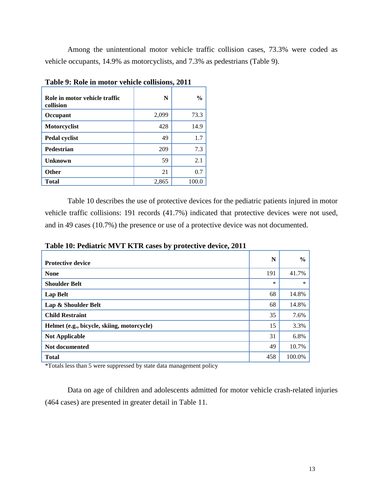Among the unintentional motor vehicle traffic collision cases, 73.3% were coded as vehicle occupants, 14.9% as motorcyclists, and 7.3% as pedestrians (Table 9).

| Role in motor vehicle traffic<br>collision | N     | $\frac{0}{0}$ |
|--------------------------------------------|-------|---------------|
| Occupant                                   | 2,099 | 73.3          |
| Motorcyclist                               | 428   | 14.9          |
| Pedal cyclist                              | 49    | 1.7           |
| <b>Pedestrian</b>                          | 209   | 7.3           |
| <b>Unknown</b>                             | 59    | 2.1           |
| <b>Other</b>                               | 21    | 0.7           |
| <b>Total</b>                               | 2,865 | 100.0         |

<span id="page-12-0"></span>**Table 9: Role in motor vehicle collisions, 2011**

Table 10 describes the use of protective devices for the pediatric patients injured in motor vehicle traffic collisions: 191 records (41.7%) indicated that protective devices were not used, and in 49 cases (10.7%) the presence or use of a protective device was not documented.

|                                            | N      | $\frac{0}{0}$ |
|--------------------------------------------|--------|---------------|
| <b>Protective device</b>                   |        |               |
| <b>None</b>                                | 191    | 41.7%         |
| <b>Shoulder Belt</b>                       | $\ast$ | $\ast$        |
| <b>Lap Belt</b>                            | 68     | 14.8%         |
| Lap & Shoulder Belt                        | 68     | 14.8%         |
| <b>Child Restraint</b>                     | 35     | 7.6%          |
| Helmet (e.g., bicycle, skiing, motorcycle) | 15     | 3.3%          |
| <b>Not Applicable</b>                      | 31     | 6.8%          |
| Not documented                             | 49     | 10.7%         |
| <b>Total</b>                               | 458    | 100.0%        |

<span id="page-12-1"></span>**Table 10: Pediatric MVT KTR cases by protective device, 2011**

\*Totals less than 5 were suppressed by state data management policy

Data on age of children and adolescents admitted for motor vehicle crash-related injuries (464 cases) are presented in greater detail in Table 11.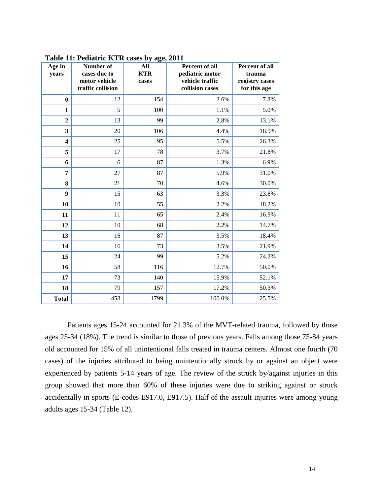| Age in<br>years         | Number of<br>cases due to<br>motor vehicle<br>traffic collision | ັ<br>$\circ$<br>All<br><b>KTR</b><br>cases | Percent of all<br>pediatric motor<br>vehicle traffic<br>collision cases | Percent of all<br>trauma<br>registry cases<br>for this age |
|-------------------------|-----------------------------------------------------------------|--------------------------------------------|-------------------------------------------------------------------------|------------------------------------------------------------|
| $\bf{0}$                | 12                                                              | 154                                        | 2.6%                                                                    | 7.8%                                                       |
| $\mathbf{1}$            | 5                                                               | 100                                        | 1.1%                                                                    | 5.0%                                                       |
| $\overline{2}$          | 13                                                              | 99                                         | 2.8%                                                                    | 13.1%                                                      |
| 3                       | 20                                                              | 106                                        | 4.4%                                                                    | 18.9%                                                      |
| $\overline{\mathbf{4}}$ | 25                                                              | 95                                         | 5.5%                                                                    | 26.3%                                                      |
| 5                       | 17                                                              | 78                                         | 3.7%                                                                    | 21.8%                                                      |
| 6                       | 6                                                               | 87                                         | 1.3%                                                                    | 6.9%                                                       |
| 7                       | 27                                                              | 87                                         | 5.9%                                                                    | 31.0%                                                      |
| 8                       | 21                                                              | 70                                         | 4.6%                                                                    | 30.0%                                                      |
| 9                       | 15                                                              | 63                                         | 3.3%                                                                    | 23.8%                                                      |
| 10                      | 10                                                              | 55                                         | 2.2%                                                                    | 18.2%                                                      |
| 11                      | 11                                                              | 65                                         | 2.4%                                                                    | 16.9%                                                      |
| 12                      | 10                                                              | 68                                         | 2.2%                                                                    | 14.7%                                                      |
| 13                      | 16                                                              | 87                                         | 3.5%                                                                    | 18.4%                                                      |
| 14                      | 16                                                              | 73                                         | 3.5%                                                                    | 21.9%                                                      |
| 15                      | 24                                                              | 99                                         | 5.2%                                                                    | 24.2%                                                      |
| 16                      | 58                                                              | 116                                        | 12.7%                                                                   | 50.0%                                                      |
| 17                      | 73                                                              | 140                                        | 15.9%                                                                   | 52.1%                                                      |
| 18                      | 79                                                              | 157                                        | 17.2%                                                                   | 50.3%                                                      |
| <b>Total</b>            | 458                                                             | 1799                                       | 100.0%                                                                  | 25.5%                                                      |

<span id="page-13-0"></span>**Table 11: Pediatric KTR cases by age, 2011**

Patients ages 15-24 accounted for 21.3% of the MVT-related trauma, followed by those ages 25-34 (18%). The trend is similar to those of previous years. Falls among those 75-84 years old accounted for 15% of all unintentional falls treated in trauma centers. Almost one fourth (70 cases) of the injuries attributed to being unintentionally struck by or against an object were experienced by patients 5-14 years of age. The review of the struck by/against injuries in this group showed that more than 60% of these injuries were due to striking against or struck accidentally in sports (E-codes E917.0, E917.5). Half of the assault injuries were among young adults ages 15-34 (Table 12).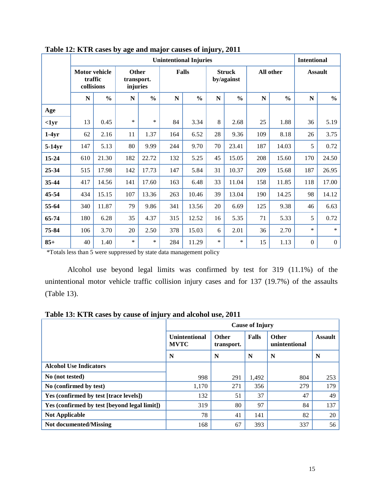|           |                                               |               |                                 |               | <b>Unintentional Injuries</b> |               |        |                             |           |               | <b>Intentional</b> |                |
|-----------|-----------------------------------------------|---------------|---------------------------------|---------------|-------------------------------|---------------|--------|-----------------------------|-----------|---------------|--------------------|----------------|
|           | <b>Motor vehicle</b><br>traffic<br>collisions |               | Other<br>transport.<br>injuries |               |                               | <b>Falls</b>  |        | <b>Struck</b><br>by/against |           | All other     |                    | <b>Assault</b> |
|           | ${\bf N}$                                     | $\frac{0}{0}$ | ${\bf N}$                       | $\frac{0}{0}$ | N                             | $\frac{0}{0}$ | N      | $\frac{0}{0}$               | ${\bf N}$ | $\frac{0}{0}$ | ${\bf N}$          | $\frac{6}{10}$ |
| Age       |                                               |               |                                 |               |                               |               |        |                             |           |               |                    |                |
| $1yr$     | 13                                            | 0.45          | *                               | $\ast$        | 84                            | 3.34          | 8      | 2.68                        | 25        | 1.88          | 36                 | 5.19           |
| $1-4yr$   | 62                                            | 2.16          | 11                              | 1.37          | 164                           | 6.52          | 28     | 9.36                        | 109       | 8.18          | 26                 | 3.75           |
| $5-14yr$  | 147                                           | 5.13          | 80                              | 9.99          | 244                           | 9.70          | 70     | 23.41                       | 187       | 14.03         | 5                  | 0.72           |
| 15-24     | 610                                           | 21.30         | 182                             | 22.72         | 132                           | 5.25          | 45     | 15.05                       | 208       | 15.60         | 170                | 24.50          |
| 25-34     | 515                                           | 17.98         | 142                             | 17.73         | 147                           | 5.84          | 31     | 10.37                       | 209       | 15.68         | 187                | 26.95          |
| 35-44     | 417                                           | 14.56         | 141                             | 17.60         | 163                           | 6.48          | 33     | 11.04                       | 158       | 11.85         | 118                | 17.00          |
| $45 - 54$ | 434                                           | 15.15         | 107                             | 13.36         | 263                           | 10.46         | 39     | 13.04                       | 190       | 14.25         | 98                 | 14.12          |
| 55-64     | 340                                           | 11.87         | 79                              | 9.86          | 341                           | 13.56         | 20     | 6.69                        | 125       | 9.38          | 46                 | 6.63           |
| 65-74     | 180                                           | 6.28          | 35                              | 4.37          | 315                           | 12.52         | 16     | 5.35                        | 71        | 5.33          | 5                  | 0.72           |
| 75-84     | 106                                           | 3.70          | 20                              | 2.50          | 378                           | 15.03         | 6      | 2.01                        | 36        | 2.70          | *                  | $\ast$         |
| $85+$     | 40                                            | 1.40          | *                               | $\ast$        | 284                           | 11.29         | $\ast$ | $\ast$                      | 15        | 1.13          | $\mathbf{0}$       | $\overline{0}$ |

<span id="page-14-0"></span>**Table 12: KTR cases by age and major causes of injury, 2011**

\*Totals less than 5 were suppressed by state data management policy

Alcohol use beyond legal limits was confirmed by test for 319 (11.1%) of the unintentional motor vehicle traffic collision injury cases and for 137 (19.7%) of the assaults (Table 13).

<span id="page-14-1"></span>**Table 13: KTR cases by cause of injury and alcohol use, 2011**

|                                              |                                     | <b>Cause of Injury</b>     |              |                        |                |  |  |  |  |  |
|----------------------------------------------|-------------------------------------|----------------------------|--------------|------------------------|----------------|--|--|--|--|--|
|                                              | <b>Unintentional</b><br><b>MVTC</b> | <b>Other</b><br>transport. | <b>Falls</b> | Other<br>unintentional | <b>Assault</b> |  |  |  |  |  |
|                                              | N                                   | N                          | N            | N                      | N              |  |  |  |  |  |
| <b>Alcohol Use Indicators</b>                |                                     |                            |              |                        |                |  |  |  |  |  |
| No (not tested)                              | 998                                 | 291                        | 1,492        | 804                    | 253            |  |  |  |  |  |
| No (confirmed by test)                       | 1,170                               | 271                        | 356          | 279                    | 179            |  |  |  |  |  |
| Yes (confirmed by test [trace levels])       | 132                                 | 51                         | 37           | 47                     | 49             |  |  |  |  |  |
| Yes (confirmed by test [beyond legal limit]) | 319                                 | 80                         | 97           | 84                     | 137            |  |  |  |  |  |
| <b>Not Applicable</b>                        | 78                                  | 41                         | 141          | 82                     | 20             |  |  |  |  |  |
| Not documented/Missing                       | 168                                 | 67                         | 393          | 337                    | 56             |  |  |  |  |  |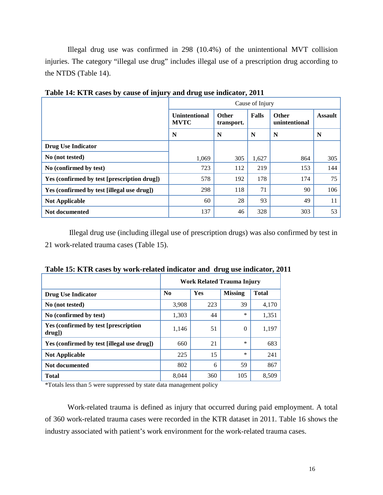Illegal drug use was confirmed in 298 (10.4%) of the unintentional MVT collision injuries. The category "illegal use drug" includes illegal use of a prescription drug according to the NTDS (Table 14).

|                                             | Cause of Injury                     |                                     |       |                               |                |  |  |  |
|---------------------------------------------|-------------------------------------|-------------------------------------|-------|-------------------------------|----------------|--|--|--|
|                                             | <b>Unintentional</b><br><b>MVTC</b> | Falls<br><b>Other</b><br>transport. |       | <b>Other</b><br>unintentional | <b>Assault</b> |  |  |  |
|                                             | N                                   | N                                   | N     | N                             | N              |  |  |  |
| <b>Drug Use Indicator</b>                   |                                     |                                     |       |                               |                |  |  |  |
| No (not tested)                             | 1.069                               | 305                                 | 1,627 | 864                           | 305            |  |  |  |
| No (confirmed by test)                      | 723                                 | 112                                 | 219   | 153                           | 144            |  |  |  |
| Yes (confirmed by test [prescription drug]) | 578                                 | 192                                 | 178   | 174                           | 75             |  |  |  |
| Yes (confirmed by test [illegal use drug])  | 298                                 | 118                                 | 71    | 90                            | 106            |  |  |  |
| <b>Not Applicable</b>                       | 60                                  | 28                                  | 93    | 49                            | 11             |  |  |  |
| Not documented                              | 137                                 | 46                                  | 328   | 303                           | 53             |  |  |  |

<span id="page-15-0"></span>**Table 14: KTR cases by cause of injury and drug use indicator, 2011**

Illegal drug use (including illegal use of prescription drugs) was also confirmed by test in 21 work-related trauma cases (Table 15).

|                                                  | Work Related Trauma Injury |     |                |              |  |  |  |  |  |
|--------------------------------------------------|----------------------------|-----|----------------|--------------|--|--|--|--|--|
| <b>Drug Use Indicator</b>                        | No                         | Yes | <b>Missing</b> | <b>Total</b> |  |  |  |  |  |
| No (not tested)                                  | 3,908                      | 223 | 39             | 4,170        |  |  |  |  |  |
| No (confirmed by test)                           | 1,303                      | 44  | $\ast$         | 1,351        |  |  |  |  |  |
| Yes (confirmed by test [prescription<br>$drug$ ] | 1,146                      | 51  | $\Omega$       | 1,197        |  |  |  |  |  |
| Yes (confirmed by test [illegal use drug])       | 660                        | 21  | $\ast$         | 683          |  |  |  |  |  |
| <b>Not Applicable</b>                            | 225                        | 15  | $\ast$         | 241          |  |  |  |  |  |
| Not documented                                   | 802                        | 6   | 59             | 867          |  |  |  |  |  |
| <b>Total</b>                                     | 8.044                      | 360 | 105            | 8.509        |  |  |  |  |  |

<span id="page-15-1"></span>**Table 15: KTR cases by work-related indicator and drug use indicator, 2011**

\*Totals less than 5 were suppressed by state data management policy

Work-related trauma is defined as injury that occurred during paid employment. A total of 360 work-related trauma cases were recorded in the KTR dataset in 2011. Table 16 shows the industry associated with patient's work environment for the work-related trauma cases.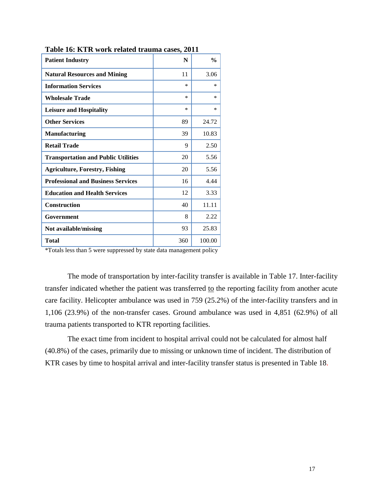| <b>Patient Industry</b>                    | N         | $\frac{0}{0}$ |
|--------------------------------------------|-----------|---------------|
| <b>Natural Resources and Mining</b>        | 11        | 3.06          |
| <b>Information Services</b>                | $\ast$    | *             |
| <b>Wholesale Trade</b>                     | $^{\ast}$ | *             |
| <b>Leisure and Hospitality</b>             | $\ast$    | *             |
| <b>Other Services</b>                      | 89        | 24.72         |
| <b>Manufacturing</b>                       | 39        | 10.83         |
| <b>Retail Trade</b>                        | 9         | 2.50          |
| <b>Transportation and Public Utilities</b> | 20        | 5.56          |
| <b>Agriculture, Forestry, Fishing</b>      | 20        | 5.56          |
| <b>Professional and Business Services</b>  | 16        | 4.44          |
| <b>Education and Health Services</b>       | 12        | 3.33          |
| <b>Construction</b>                        | 40        | 11.11         |
| Government                                 | 8         | 2.22          |
| Not available/missing                      | 93        | 25.83         |
| Total                                      | 360       | 100.00        |

<span id="page-16-0"></span>**Table 16: KTR work related trauma cases, 2011**

\*Totals less than 5 were suppressed by state data management policy

The mode of transportation by inter-facility transfer is available in Table 17. Inter-facility transfer indicated whether the patient was transferred to the reporting facility from another acute care facility. Helicopter ambulance was used in 759 (25.2%) of the inter-facility transfers and in 1,106 (23.9%) of the non-transfer cases. Ground ambulance was used in 4,851 (62.9%) of all trauma patients transported to KTR reporting facilities.

The exact time from incident to hospital arrival could not be calculated for almost half (40.8%) of the cases, primarily due to missing or unknown time of incident. The distribution of KTR cases by time to hospital arrival and inter-facility transfer status is presented in Table 18.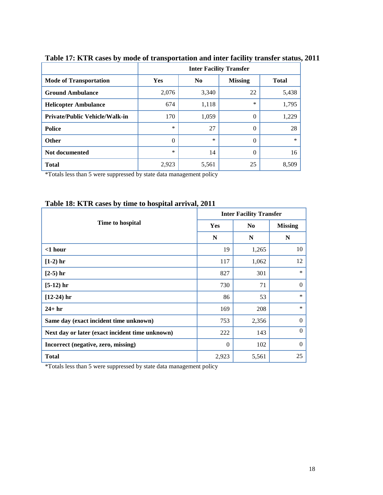|                                       | <b>Inter Facility Transfer</b> |                |                |              |  |  |  |  |
|---------------------------------------|--------------------------------|----------------|----------------|--------------|--|--|--|--|
| <b>Mode of Transportation</b>         | <b>Yes</b>                     | N <sub>0</sub> | <b>Missing</b> | <b>Total</b> |  |  |  |  |
| <b>Ground Ambulance</b>               | 2,076                          | 3,340          | 22             | 5,438        |  |  |  |  |
| <b>Helicopter Ambulance</b>           | 674                            | 1,118          | *              | 1,795        |  |  |  |  |
| <b>Private/Public Vehicle/Walk-in</b> | 170                            | 1,059          | 0              | 1,229        |  |  |  |  |
| <b>Police</b>                         | $\ast$                         | 27             | 0              | 28           |  |  |  |  |
| <b>Other</b>                          | $\Omega$                       | $\ast$         | 0              | $\ast$       |  |  |  |  |
| Not documented                        | $\ast$                         | 14             | 0              | 16           |  |  |  |  |
| <b>Total</b>                          | 2,923                          | 5,561          | 25             | 8,509        |  |  |  |  |

## <span id="page-17-0"></span>**Table 17: KTR cases by mode of transportation and inter facility transfer status, 2011**

\*Totals less than 5 were suppressed by state data management policy

|                                                 |            | <b>Inter Facility Transfer</b> |                |  |  |  |  |
|-------------------------------------------------|------------|--------------------------------|----------------|--|--|--|--|
| Time to hospital                                | <b>Yes</b> | N <sub>0</sub>                 | <b>Missing</b> |  |  |  |  |
|                                                 | N          | N                              | N              |  |  |  |  |
| $<$ 1 hour                                      | 19         | 1,265                          | 10             |  |  |  |  |
| $[1-2)$ hr                                      | 117        | 1,062                          | 12             |  |  |  |  |
| $[2-5)$ hr                                      | 827        | 301                            | $\ast$         |  |  |  |  |
| $[5-12)$ hr                                     | 730        | 71                             | $\mathbf{0}$   |  |  |  |  |
| $[12-24)$ hr                                    | 86         | 53                             | $\ast$         |  |  |  |  |
| $24+hr$                                         | 169        | 208                            | $\ast$         |  |  |  |  |
| Same day (exact incident time unknown)          | 753        | 2,356                          | $\Omega$       |  |  |  |  |
| Next day or later (exact incident time unknown) | 222        | 143                            | $\Omega$       |  |  |  |  |
| Incorrect (negative, zero, missing)             | $\Omega$   | 102                            | $\Omega$       |  |  |  |  |
| <b>Total</b>                                    | 2,923      | 5,561                          | 25             |  |  |  |  |

### <span id="page-17-1"></span>**Table 18: KTR cases by time to hospital arrival, 2011**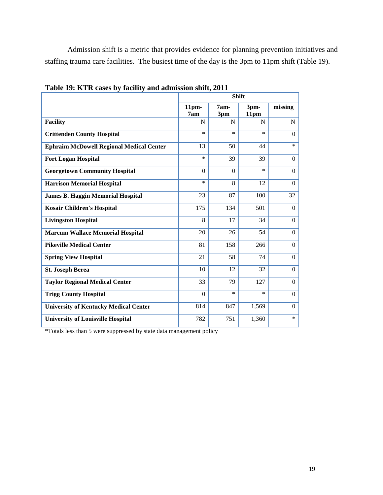Admission shift is a metric that provides evidence for planning prevention initiatives and staffing trauma care facilities. The busiest time of the day is the 3pm to 11pm shift (Table 19).

|                                                 | <b>Shift</b>            |             |              |                |  |  |  |  |
|-------------------------------------------------|-------------------------|-------------|--------------|----------------|--|--|--|--|
|                                                 | 11 <sub>pm</sub><br>7am | 7am-<br>3pm | 3pm-<br>11pm | missing        |  |  |  |  |
| <b>Facility</b>                                 | N                       | N           | N            | $\mathbf N$    |  |  |  |  |
| <b>Crittenden County Hospital</b>               | *                       | $\ast$      | $\ast$       | $\Omega$       |  |  |  |  |
| <b>Ephraim McDowell Regional Medical Center</b> | 13                      | 50          | 44           | $\ast$         |  |  |  |  |
| <b>Fort Logan Hospital</b>                      | $\ast$                  | 39          | 39           | $\Omega$       |  |  |  |  |
| <b>Georgetown Community Hospital</b>            | $\Omega$                | $\Omega$    | $\ast$       | $\overline{0}$ |  |  |  |  |
| <b>Harrison Memorial Hospital</b>               | *                       | 8           | 12           | $\Omega$       |  |  |  |  |
| <b>James B. Haggin Memorial Hospital</b>        | 23                      | 87          | 100          | 32             |  |  |  |  |
| <b>Kosair Children's Hospital</b>               | 175                     | 134         | 501          | $\Omega$       |  |  |  |  |
| <b>Livingston Hospital</b>                      | 8                       | 17          | 34           | $\Omega$       |  |  |  |  |
| <b>Marcum Wallace Memorial Hospital</b>         | 20                      | 26          | 54           | $\theta$       |  |  |  |  |
| <b>Pikeville Medical Center</b>                 | 81                      | 158         | 266          | $\Omega$       |  |  |  |  |
| <b>Spring View Hospital</b>                     | 21                      | 58          | 74           | $\overline{0}$ |  |  |  |  |
| <b>St. Joseph Berea</b>                         | 10                      | 12          | 32           | $\Omega$       |  |  |  |  |
| <b>Taylor Regional Medical Center</b>           | 33                      | 79          | 127          | $\overline{0}$ |  |  |  |  |
| <b>Trigg County Hospital</b>                    | $\Omega$                | $\ast$      | $\ast$       | $\Omega$       |  |  |  |  |
| <b>University of Kentucky Medical Center</b>    | 814                     | 847         | 1,569        | $\overline{0}$ |  |  |  |  |
| <b>University of Louisville Hospital</b>        | 782                     | 751         | 1,360        | $\ast$         |  |  |  |  |

<span id="page-18-0"></span>**Table 19: KTR cases by facility and admission shift, 2011**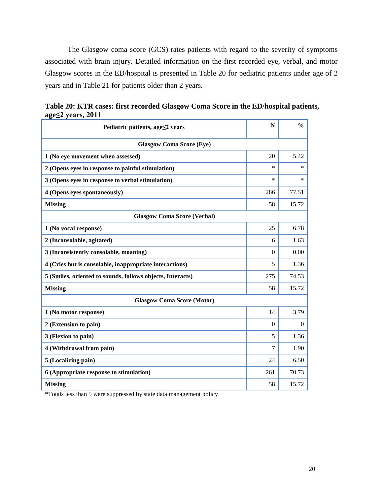The Glasgow coma score (GCS) rates patients with regard to the severity of symptoms associated with brain injury. Detailed information on the first recorded eye, verbal, and motor Glasgow scores in the ED/hospital is presented in Table 20 for pediatric patients under age of 2 years and in Table 21 for patients older than 2 years.

| Pediatric patients, age≤2 years                            | N        | $\frac{0}{0}$ |
|------------------------------------------------------------|----------|---------------|
| <b>Glasgow Coma Score (Eye)</b>                            |          |               |
| 1 (No eye movement when assessed)                          | 20       | 5.42          |
| 2 (Opens eyes in response to painful stimulation)          | *        | $\ast$        |
| 3 (Opens eyes in response to verbal stimulation)           | *        | $\ast$        |
| 4 (Opens eyes spontaneously)                               | 286      | 77.51         |
| <b>Missing</b>                                             | 58       | 15.72         |
| <b>Glasgow Coma Score (Verbal)</b>                         |          |               |
| 1 (No vocal response)                                      | 25       | 6.78          |
| 2 (Inconsolable, agitated)                                 | 6        | 1.63          |
| 3 (Inconsistently consolable, moaning)                     | $\Omega$ | 0.00          |
| 4 (Cries but is consolable, inappropriate interactions)    | 5        | 1.36          |
| 5 (Smiles, oriented to sounds, follows objects, Interacts) | 275      | 74.53         |
| <b>Missing</b>                                             | 58       | 15.72         |
| <b>Glasgow Coma Score (Motor)</b>                          |          |               |
| 1 (No motor response)                                      | 14       | 3.79          |
| 2 (Extension to pain)                                      | $\Omega$ | $\theta$      |
| 3 (Flexion to pain)                                        | 5        | 1.36          |
| 4 (Withdrawal from pain)                                   | 7        | 1.90          |
| 5 (Localizing pain)                                        | 24       | 6.50          |
| 6 (Appropriate response to stimulation)                    | 261      | 70.73         |
| <b>Missing</b>                                             | 58       | 15.72         |

<span id="page-19-0"></span>

|                   |  |  |  | Table 20: KTR cases: first recorded Glasgow Coma Score in the ED/hospital patients, |  |
|-------------------|--|--|--|-------------------------------------------------------------------------------------|--|
| age≤2 years, 2011 |  |  |  |                                                                                     |  |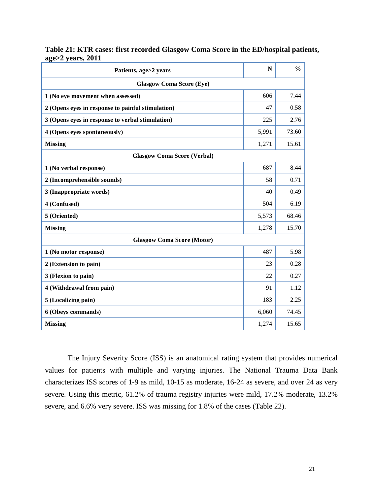| Patients, age>2 years                             | N     | $\frac{0}{0}$ |  |  |  |
|---------------------------------------------------|-------|---------------|--|--|--|
| <b>Glasgow Coma Score (Eye)</b>                   |       |               |  |  |  |
| 1 (No eye movement when assessed)                 | 606   | 7.44          |  |  |  |
| 2 (Opens eyes in response to painful stimulation) | 47    | 0.58          |  |  |  |
| 3 (Opens eyes in response to verbal stimulation)  | 225   | 2.76          |  |  |  |
| 4 (Opens eyes spontaneously)                      | 5,991 | 73.60         |  |  |  |
| <b>Missing</b>                                    | 1,271 | 15.61         |  |  |  |
| <b>Glasgow Coma Score (Verbal)</b>                |       |               |  |  |  |
| 1 (No verbal response)                            | 687   | 8.44          |  |  |  |
| 2 (Incomprehensible sounds)                       | 58    | 0.71          |  |  |  |
| 3 (Inappropriate words)                           | 40    | 0.49          |  |  |  |
| 4 (Confused)                                      | 504   | 6.19          |  |  |  |
| 5 (Oriented)                                      | 5,573 | 68.46         |  |  |  |
| <b>Missing</b>                                    | 1,278 | 15.70         |  |  |  |
| <b>Glasgow Coma Score (Motor)</b>                 |       |               |  |  |  |
| 1 (No motor response)                             | 487   | 5.98          |  |  |  |
| 2 (Extension to pain)                             | 23    | 0.28          |  |  |  |
| 3 (Flexion to pain)                               | 22    | 0.27          |  |  |  |
| 4 (Withdrawal from pain)                          | 91    | 1.12          |  |  |  |
| 5 (Localizing pain)                               | 183   | 2.25          |  |  |  |
| 6 (Obeys commands)                                | 6,060 | 74.45         |  |  |  |
| <b>Missing</b>                                    | 1,274 | 15.65         |  |  |  |

<span id="page-20-0"></span>**Table 21: KTR cases: first recorded Glasgow Coma Score in the ED/hospital patients, age>2 years, 2011**

The Injury Severity Score (ISS) is an anatomical rating system that provides numerical values for patients with multiple and varying injuries. The National Trauma Data Bank characterizes ISS scores of 1-9 as mild, 10-15 as moderate, 16-24 as severe, and over 24 as very severe. Using this metric, 61.2% of trauma registry injuries were mild, 17.2% moderate, 13.2% severe, and 6.6% very severe. ISS was missing for 1.8% of the cases (Table 22).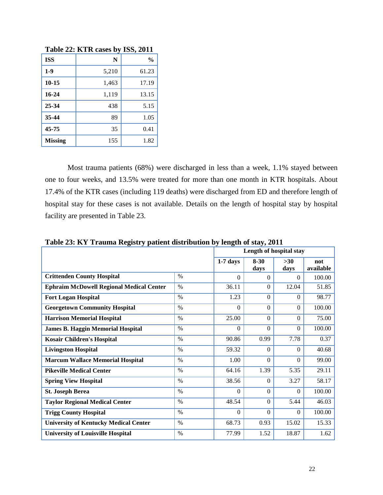|                |       | $-0.000$ $-0.000$ $-0.000$ |
|----------------|-------|----------------------------|
| <b>ISS</b>     | N     | $\frac{0}{0}$              |
| $1-9$          | 5,210 | 61.23                      |
| $10 - 15$      | 1,463 | 17.19                      |
| 16-24          | 1,119 | 13.15                      |
| 25-34          | 438   | 5.15                       |
| 35-44          | 89    | 1.05                       |
| 45-75          | 35    | 0.41                       |
| <b>Missing</b> | 155   | 1.82                       |

<span id="page-21-0"></span>**Table 22: KTR cases by ISS, 2011**

Most trauma patients (68%) were discharged in less than a week, 1.1% stayed between one to four weeks, and 13.5% were treated for more than one month in KTR hospitals. About 17.4% of the KTR cases (including 119 deaths) were discharged from ED and therefore length of hospital stay for these cases is not available. Details on the length of hospital stay by hospital facility are presented in Table 23.

| Table 25. IST Trauma Registry patient distribution by length of stay, 2011 |               |                         |                  |               |                  |  |
|----------------------------------------------------------------------------|---------------|-------------------------|------------------|---------------|------------------|--|
|                                                                            |               | Length of hospital stay |                  |               |                  |  |
|                                                                            |               | $1-7$ days              | $8 - 30$<br>days | $>30$<br>days | not<br>available |  |
| <b>Crittenden County Hospital</b>                                          | $\%$          | $\Omega$                | $\Omega$         | $\Omega$      | 100.00           |  |
| <b>Ephraim McDowell Regional Medical Center</b>                            | $\%$          | 36.11                   | $\Omega$         | 12.04         | 51.85            |  |
| <b>Fort Logan Hospital</b>                                                 | $\%$          | 1.23                    | $\theta$         | $\Omega$      | 98.77            |  |
| <b>Georgetown Community Hospital</b>                                       | $\%$          | $\Omega$                | $\theta$         | $\Omega$      | 100.00           |  |
| <b>Harrison Memorial Hospital</b>                                          | $\%$          | 25.00                   | $\theta$         | $\Omega$      | 75.00            |  |
| <b>James B. Haggin Memorial Hospital</b>                                   | $\%$          | $\Omega$                | $\theta$         | $\Omega$      | 100.00           |  |
| <b>Kosair Children's Hospital</b>                                          | $\%$          | 90.86                   | 0.99             | 7.78          | 0.37             |  |
| <b>Livingston Hospital</b>                                                 | $\%$          | 59.32                   | $\theta$         | $\Omega$      | 40.68            |  |
| <b>Marcum Wallace Memorial Hospital</b>                                    | $\%$          | 1.00                    | $\theta$         | $\Omega$      | 99.00            |  |
| <b>Pikeville Medical Center</b>                                            | $\%$          | 64.16                   | 1.39             | 5.35          | 29.11            |  |
| <b>Spring View Hospital</b>                                                | $\%$          | 38.56                   | $\Omega$         | 3.27          | 58.17            |  |
| <b>St. Joseph Berea</b>                                                    | $\frac{0}{0}$ | $\Omega$                | $\Omega$         | $\Omega$      | 100.00           |  |
| <b>Taylor Regional Medical Center</b>                                      | $\%$          | 48.54                   | $\Omega$         | 5.44          | 46.03            |  |
| <b>Trigg County Hospital</b>                                               | $\%$          | $\Omega$                | $\Omega$         | $\Omega$      | 100.00           |  |
| <b>University of Kentucky Medical Center</b>                               | $\%$          | 68.73                   | 0.93             | 15.02         | 15.33            |  |
| <b>University of Louisville Hospital</b>                                   | $\%$          | 77.99                   | 1.52             | 18.87         | 1.62             |  |

<span id="page-21-1"></span>**Table 23: KY Trauma Registry patient distribution by length of stay, 2011**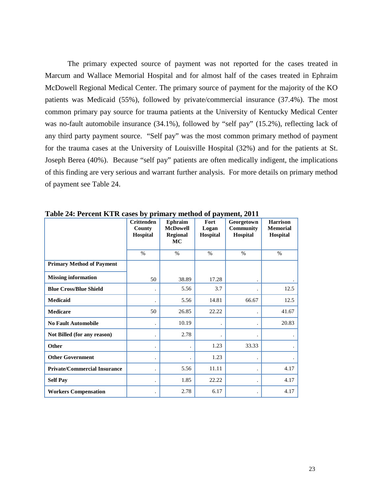The primary expected source of payment was not reported for the cases treated in Marcum and Wallace Memorial Hospital and for almost half of the cases treated in Ephraim McDowell Regional Medical Center. The primary source of payment for the majority of the KO patients was Medicaid (55%), followed by private/commercial insurance (37.4%). The most common primary pay source for trauma patients at the University of Kentucky Medical Center was no-fault automobile insurance (34.1%), followed by "self pay" (15.2%), reflecting lack of any third party payment source. "Self pay" was the most common primary method of payment for the trauma cases at the University of Louisville Hospital (32%) and for the patients at St. Joseph Berea (40%). Because "self pay" patients are often medically indigent, the implications of this finding are very serious and warrant further analysis. For more details on primary method of payment see Table 24.

|                                     | <b>Crittenden</b><br>County<br>Hospital | Ephraim<br><b>McDowell</b><br><b>Regional</b><br><b>MC</b> | Fort<br>Logan<br>Hospital | Georgetown<br><b>Community</b><br>Hospital | <b>Harrison</b><br><b>Memorial</b><br>Hospital |
|-------------------------------------|-----------------------------------------|------------------------------------------------------------|---------------------------|--------------------------------------------|------------------------------------------------|
|                                     | $\%$                                    | $\%$                                                       | $\%$                      | $\frac{0}{0}$                              | $\%$                                           |
| <b>Primary Method of Payment</b>    |                                         |                                                            |                           |                                            |                                                |
| <b>Missing information</b>          | 50                                      | 38.89                                                      | 17.28                     |                                            |                                                |
| <b>Blue Cross/Blue Shield</b>       |                                         | 5.56                                                       | 3.7                       |                                            | 12.5                                           |
| Medicaid                            |                                         | 5.56                                                       | 14.81                     | 66.67                                      | 12.5                                           |
| <b>Medicare</b>                     | 50                                      | 26.85                                                      | 22.22                     |                                            | 41.67                                          |
| <b>No Fault Automobile</b>          |                                         | 10.19                                                      |                           |                                            | 20.83                                          |
| Not Billed (for any reason)         |                                         | 2.78                                                       |                           |                                            |                                                |
| Other                               |                                         |                                                            | 1.23                      | 33.33                                      |                                                |
| <b>Other Government</b>             |                                         |                                                            | 1.23                      |                                            |                                                |
| <b>Private/Commercial Insurance</b> |                                         | 5.56                                                       | 11.11                     |                                            | 4.17                                           |
| <b>Self Pay</b>                     |                                         | 1.85                                                       | 22.22                     |                                            | 4.17                                           |
| <b>Workers Compensation</b>         |                                         | 2.78                                                       | 6.17                      |                                            | 4.17                                           |

<span id="page-22-0"></span>**Table 24: Percent KTR cases by primary method of payment, 2011**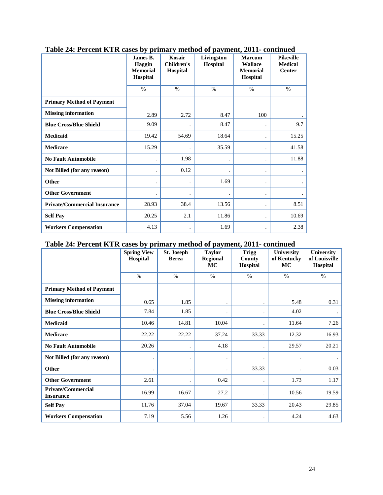|                                     | James B.<br>Haggin<br><b>Memorial</b><br>Hospital | Kosair<br><b>Children's</b><br>Hospital | Livingston<br>Hospital | <b>Marcum</b><br><b>Wallace</b><br><b>Memorial</b><br>Hospital | <b>Pikeville</b><br><b>Medical</b><br><b>Center</b> |
|-------------------------------------|---------------------------------------------------|-----------------------------------------|------------------------|----------------------------------------------------------------|-----------------------------------------------------|
|                                     | $\%$                                              | $\%$                                    | $\%$                   | $\%$                                                           | $\%$                                                |
| <b>Primary Method of Payment</b>    |                                                   |                                         |                        |                                                                |                                                     |
| <b>Missing information</b>          | 2.89                                              | 2.72                                    | 8.47                   | 100                                                            |                                                     |
| <b>Blue Cross/Blue Shield</b>       | 9.09                                              |                                         | 8.47                   | $\ddot{\phantom{0}}$                                           | 9.7                                                 |
| <b>Medicaid</b>                     | 19.42                                             | 54.69                                   | 18.64                  |                                                                | 15.25                                               |
| <b>Medicare</b>                     | 15.29                                             |                                         | 35.59                  |                                                                | 41.58                                               |
| <b>No Fault Automobile</b>          | $\ddot{\phantom{0}}$                              | 1.98                                    |                        |                                                                | 11.88                                               |
| Not Billed (for any reason)         | $\ddot{\phantom{0}}$                              | 0.12                                    |                        |                                                                |                                                     |
| Other                               | ٠                                                 |                                         | 1.69                   |                                                                |                                                     |
| <b>Other Government</b>             |                                                   |                                         |                        |                                                                |                                                     |
| <b>Private/Commercial Insurance</b> | 28.93                                             | 38.4                                    | 13.56                  |                                                                | 8.51                                                |
| <b>Self Pay</b>                     | 20.25                                             | 2.1                                     | 11.86                  |                                                                | 10.69                                               |
| <b>Workers Compensation</b>         | 4.13                                              |                                         | 1.69                   | $\bullet$                                                      | 2.38                                                |

## <span id="page-23-0"></span>**Table 24: Percent KTR cases by primary method of payment, 2011- continued**

## <span id="page-23-1"></span>**Table 24: Percent KTR cases by primary method of payment, 2011- continued**

|                                               | ◡▁<br><b>Spring View</b><br>Hospital | St. Joseph<br><b>Berea</b> | ∸∸<br><b>Taylor</b><br><b>Regional</b><br>MC | Trigg<br><b>County</b><br>Hospital | <b>University</b><br>of Kentucky<br>MC | <b>University</b><br>of Louisville<br>Hospital |
|-----------------------------------------------|--------------------------------------|----------------------------|----------------------------------------------|------------------------------------|----------------------------------------|------------------------------------------------|
|                                               | $\%$                                 | $\frac{0}{0}$              | $\%$                                         | $\%$                               | $\%$                                   | $\%$                                           |
| <b>Primary Method of Payment</b>              |                                      |                            |                                              |                                    |                                        |                                                |
| <b>Missing information</b>                    | 0.65                                 | 1.85                       |                                              |                                    | 5.48                                   | 0.31                                           |
| <b>Blue Cross/Blue Shield</b>                 | 7.84                                 | 1.85                       |                                              |                                    | 4.02                                   |                                                |
| <b>Medicaid</b>                               | 10.46                                | 14.81                      | 10.04                                        |                                    | 11.64                                  | 7.26                                           |
| <b>Medicare</b>                               | 22.22                                | 22.22                      | 37.24                                        | 33.33                              | 12.32                                  | 16.93                                          |
| <b>No Fault Automobile</b>                    | 20.26                                |                            | 4.18                                         |                                    | 29.57                                  | 20.21                                          |
| Not Billed (for any reason)                   |                                      |                            |                                              |                                    |                                        |                                                |
| Other                                         |                                      |                            |                                              | 33.33                              |                                        | 0.03                                           |
| <b>Other Government</b>                       | 2.61                                 |                            | 0.42                                         |                                    | 1.73                                   | 1.17                                           |
| <b>Private/Commercial</b><br><b>Insurance</b> | 16.99                                | 16.67                      | 27.2                                         |                                    | 10.56                                  | 19.59                                          |
| <b>Self Pay</b>                               | 11.76                                | 37.04                      | 19.67                                        | 33.33                              | 20.43                                  | 29.85                                          |
| <b>Workers Compensation</b>                   | 7.19                                 | 5.56                       | 1.26                                         |                                    | 4.24                                   | 4.63                                           |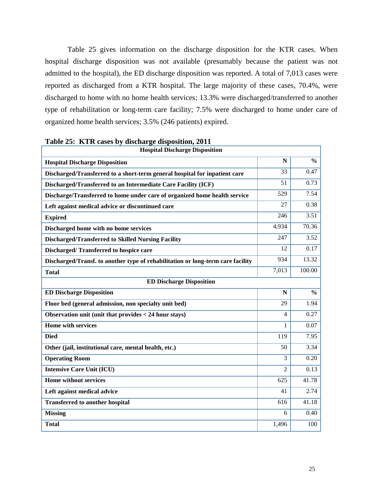Table 25 gives information on the discharge disposition for the KTR cases. When hospital discharge disposition was not available (presumably because the patient was not admitted to the hospital), the ED discharge disposition was reported. A total of 7,013 cases were reported as discharged from a KTR hospital. The large majority of these cases, 70.4%, were discharged to home with no home health services; 13.3% were discharged/transferred to another type of rehabilitation or long-term care facility; 7.5% were discharged to home under care of organized home health services; 3.5% (246 patients) expired.

| <b>Hospital Discharge Disposition</b>                                           |                |               |  |  |  |
|---------------------------------------------------------------------------------|----------------|---------------|--|--|--|
| <b>Hospital Discharge Disposition</b>                                           | N              | $\frac{0}{0}$ |  |  |  |
| Discharged/Transferred to a short-term general hospital for inpatient care      | 33             | 0.47          |  |  |  |
| Discharged/Transferred to an Intermediate Care Facility (ICF)                   | 51             | 0.73          |  |  |  |
| Discharge/Transferred to home under care of organized home health service       | 529            | 7.54          |  |  |  |
| Left against medical advice or discontinued care                                | 27             | 0.38          |  |  |  |
| <b>Expired</b>                                                                  | 246            | 3.51          |  |  |  |
| Discharged home with no home services                                           | 4,934          | 70.36         |  |  |  |
| <b>Discharged/Transferred to Skilled Nursing Facility</b>                       | 247            | 3.52          |  |  |  |
| Discharged/Transferred to hospice care                                          | 12             | 0.17          |  |  |  |
| Discharged/Transf. to another type of rehabilitation or long-term care facility | 934            | 13.32         |  |  |  |
| <b>Total</b>                                                                    | 7,013          | 100.00        |  |  |  |
| <b>ED Discharge Disposition</b>                                                 |                |               |  |  |  |
| <b>ED Discharge Disposition</b>                                                 | $\mathbf N$    | $\frac{0}{0}$ |  |  |  |
| Floor bed (general admission, non specialty unit bed)                           | 29             | 1.94          |  |  |  |
| Observation unit (unit that provides < 24 hour stays)                           | 4              | 0.27          |  |  |  |
| <b>Home with services</b>                                                       | 1              | 0.07          |  |  |  |
| <b>Died</b>                                                                     | 119            | 7.95          |  |  |  |
| Other (jail, institutional care, mental health, etc.)                           | 50             | 3.34          |  |  |  |
| <b>Operating Room</b>                                                           | 3              | 0.20          |  |  |  |
| <b>Intensive Care Unit (ICU)</b>                                                | $\mathfrak{D}$ | 0.13          |  |  |  |
| Home without services                                                           | 625            | 41.78         |  |  |  |
| Left against medical advice                                                     | 41             | 2.74          |  |  |  |
| <b>Transferred to another hospital</b>                                          | 616            | 41.18         |  |  |  |
| <b>Missing</b>                                                                  | 6              | 0.40          |  |  |  |
| <b>Total</b>                                                                    | 1,496          | 100           |  |  |  |

<span id="page-24-0"></span>**Table 25: KTR cases by discharge disposition, 2011**